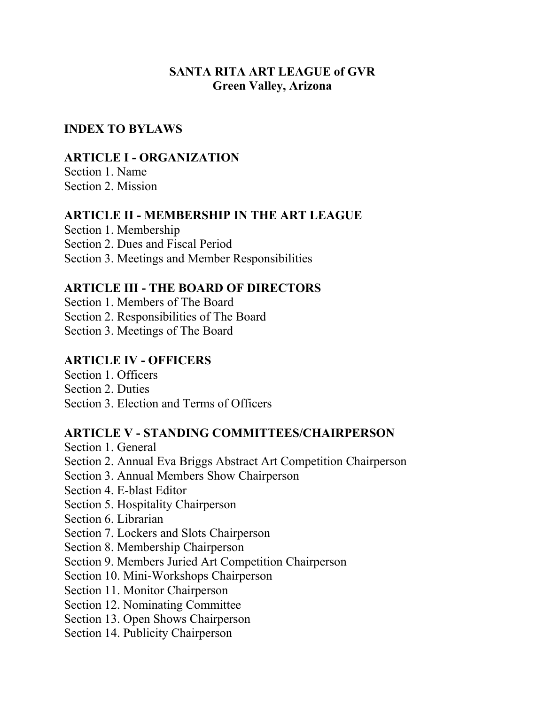## **SANTA RITA ART LEAGUE of GVR Green Valley, Arizona**

### **INDEX TO BYLAWS**

### **ARTICLE I - ORGANIZATION**

Section 1. Name Section 2. Mission

#### **ARTICLE II - MEMBERSHIP IN THE ART LEAGUE**

Section 1. Membership Section 2. Dues and Fiscal Period Section 3. Meetings and Member Responsibilities

#### **ARTICLE III - THE BOARD OF DIRECTORS**

Section 1. Members of The Board

Section 2. Responsibilities of The Board

Section 3. Meetings of The Board

## **ARTICLE IV - OFFICERS**

Section 1. Officers Section 2. Duties

Section 3. Election and Terms of Officers

#### **ARTICLE V - STANDING COMMITTEES/CHAIRPERSON**

Section 1. General Section 2. Annual Eva Briggs Abstract Art Competition Chairperson Section 3. Annual Members Show Chairperson Section 4. E-blast Editor Section 5. Hospitality Chairperson Section 6. Librarian Section 7. Lockers and Slots Chairperson Section 8. Membership Chairperson

- Section 9. Members Juried Art Competition Chairperson
- Section 10. Mini-Workshops Chairperson
- Section 11. Monitor Chairperson
- Section 12. Nominating Committee
- Section 13. Open Shows Chairperson
- Section 14. Publicity Chairperson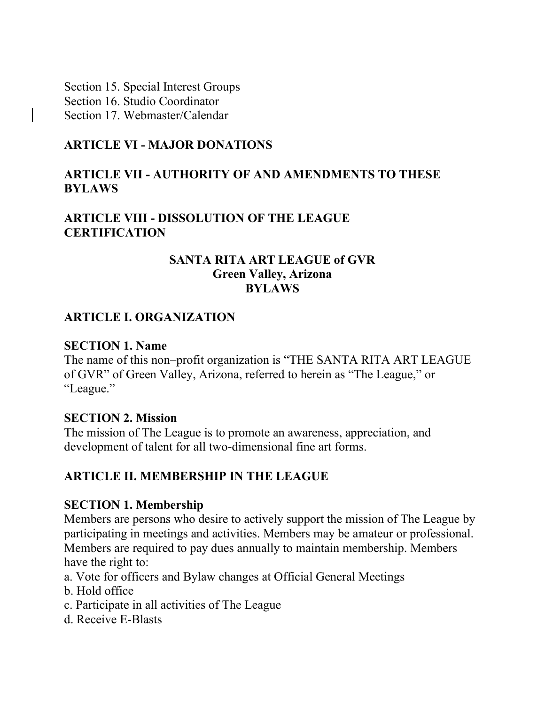Section 15. Special Interest Groups Section 16. Studio Coordinator Section 17. Webmaster/Calendar

#### **ARTICLE VI - MAJOR DONATIONS**

#### **ARTICLE VII - AUTHORITY OF AND AMENDMENTS TO THESE BYLAWS**

## **ARTICLE VIII - DISSOLUTION OF THE LEAGUE CERTIFICATION**

#### **SANTA RITA ART LEAGUE of GVR Green Valley, Arizona BYLAWS**

#### **ARTICLE I. ORGANIZATION**

#### **SECTION 1. Name**

The name of this non–profit organization is "THE SANTA RITA ART LEAGUE of GVR" of Green Valley, Arizona, referred to herein as "The League," or "League."

#### **SECTION 2. Mission**

The mission of The League is to promote an awareness, appreciation, and development of talent for all two-dimensional fine art forms.

#### **ARTICLE II. MEMBERSHIP IN THE LEAGUE**

#### **SECTION 1. Membership**

Members are persons who desire to actively support the mission of The League by participating in meetings and activities. Members may be amateur or professional. Members are required to pay dues annually to maintain membership. Members have the right to:

- a. Vote for officers and Bylaw changes at Official General Meetings
- b. Hold office
- c. Participate in all activities of The League
- d. Receive E-Blasts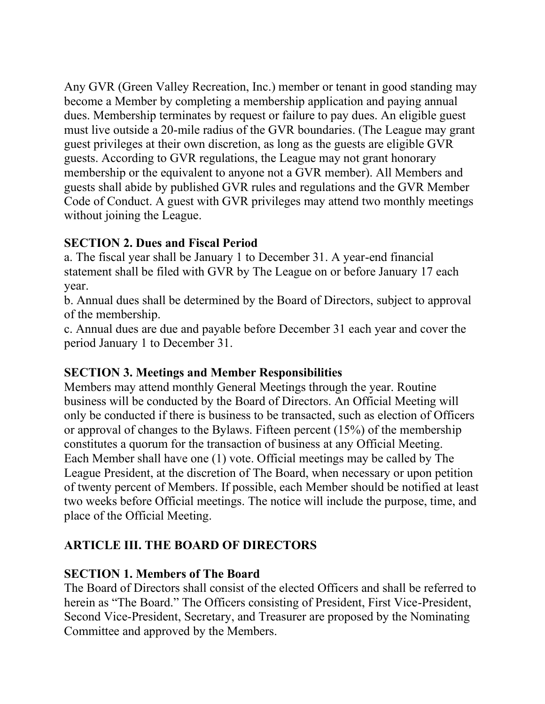Any GVR (Green Valley Recreation, Inc.) member or tenant in good standing may become a Member by completing a membership application and paying annual dues. Membership terminates by request or failure to pay dues. An eligible guest must live outside a 20-mile radius of the GVR boundaries. (The League may grant guest privileges at their own discretion, as long as the guests are eligible GVR guests. According to GVR regulations, the League may not grant honorary membership or the equivalent to anyone not a GVR member). All Members and guests shall abide by published GVR rules and regulations and the GVR Member Code of Conduct. A guest with GVR privileges may attend two monthly meetings without joining the League.

## **SECTION 2. Dues and Fiscal Period**

a. The fiscal year shall be January 1 to December 31. A year-end financial statement shall be filed with GVR by The League on or before January 17 each year.

b. Annual dues shall be determined by the Board of Directors, subject to approval of the membership.

c. Annual dues are due and payable before December 31 each year and cover the period January 1 to December 31.

# **SECTION 3. Meetings and Member Responsibilities**

Members may attend monthly General Meetings through the year. Routine business will be conducted by the Board of Directors. An Official Meeting will only be conducted if there is business to be transacted, such as election of Officers or approval of changes to the Bylaws. Fifteen percent (15%) of the membership constitutes a quorum for the transaction of business at any Official Meeting. Each Member shall have one (1) vote. Official meetings may be called by The League President, at the discretion of The Board, when necessary or upon petition of twenty percent of Members. If possible, each Member should be notified at least two weeks before Official meetings. The notice will include the purpose, time, and place of the Official Meeting.

# **ARTICLE III. THE BOARD OF DIRECTORS**

# **SECTION 1. Members of The Board**

The Board of Directors shall consist of the elected Officers and shall be referred to herein as "The Board." The Officers consisting of President, First Vice-President, Second Vice-President, Secretary, and Treasurer are proposed by the Nominating Committee and approved by the Members.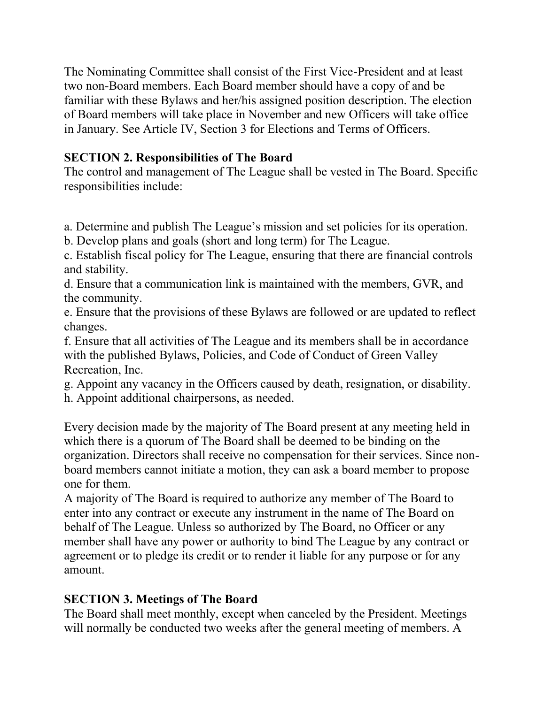The Nominating Committee shall consist of the First Vice-President and at least two non-Board members. Each Board member should have a copy of and be familiar with these Bylaws and her/his assigned position description. The election of Board members will take place in November and new Officers will take office in January. See Article IV, Section 3 for Elections and Terms of Officers.

# **SECTION 2. Responsibilities of The Board**

The control and management of The League shall be vested in The Board. Specific responsibilities include:

a. Determine and publish The League's mission and set policies for its operation.

b. Develop plans and goals (short and long term) for The League.

c. Establish fiscal policy for The League, ensuring that there are financial controls and stability.

d. Ensure that a communication link is maintained with the members, GVR, and the community.

e. Ensure that the provisions of these Bylaws are followed or are updated to reflect changes.

f. Ensure that all activities of The League and its members shall be in accordance with the published Bylaws, Policies, and Code of Conduct of Green Valley Recreation, Inc.

g. Appoint any vacancy in the Officers caused by death, resignation, or disability.

h. Appoint additional chairpersons, as needed.

Every decision made by the majority of The Board present at any meeting held in which there is a quorum of The Board shall be deemed to be binding on the organization. Directors shall receive no compensation for their services. Since nonboard members cannot initiate a motion, they can ask a board member to propose one for them.

A majority of The Board is required to authorize any member of The Board to enter into any contract or execute any instrument in the name of The Board on behalf of The League. Unless so authorized by The Board, no Officer or any member shall have any power or authority to bind The League by any contract or agreement or to pledge its credit or to render it liable for any purpose or for any amount.

# **SECTION 3. Meetings of The Board**

The Board shall meet monthly, except when canceled by the President. Meetings will normally be conducted two weeks after the general meeting of members. A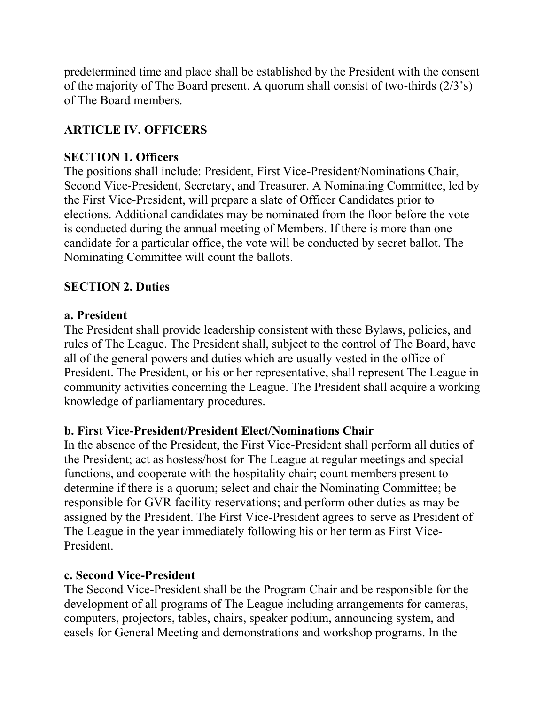predetermined time and place shall be established by the President with the consent of the majority of The Board present. A quorum shall consist of two-thirds (2/3's) of The Board members.

# **ARTICLE IV. OFFICERS**

### **SECTION 1. Officers**

The positions shall include: President, First Vice-President/Nominations Chair, Second Vice-President, Secretary, and Treasurer. A Nominating Committee, led by the First Vice-President, will prepare a slate of Officer Candidates prior to elections. Additional candidates may be nominated from the floor before the vote is conducted during the annual meeting of Members. If there is more than one candidate for a particular office, the vote will be conducted by secret ballot. The Nominating Committee will count the ballots.

## **SECTION 2. Duties**

#### **a. President**

The President shall provide leadership consistent with these Bylaws, policies, and rules of The League. The President shall, subject to the control of The Board, have all of the general powers and duties which are usually vested in the office of President. The President, or his or her representative, shall represent The League in community activities concerning the League. The President shall acquire a working knowledge of parliamentary procedures.

#### **b. First Vice-President/President Elect/Nominations Chair**

In the absence of the President, the First Vice-President shall perform all duties of the President; act as hostess/host for The League at regular meetings and special functions, and cooperate with the hospitality chair; count members present to determine if there is a quorum; select and chair the Nominating Committee; be responsible for GVR facility reservations; and perform other duties as may be assigned by the President. The First Vice-President agrees to serve as President of The League in the year immediately following his or her term as First Vice-President.

#### **c. Second Vice-President**

The Second Vice-President shall be the Program Chair and be responsible for the development of all programs of The League including arrangements for cameras, computers, projectors, tables, chairs, speaker podium, announcing system, and easels for General Meeting and demonstrations and workshop programs. In the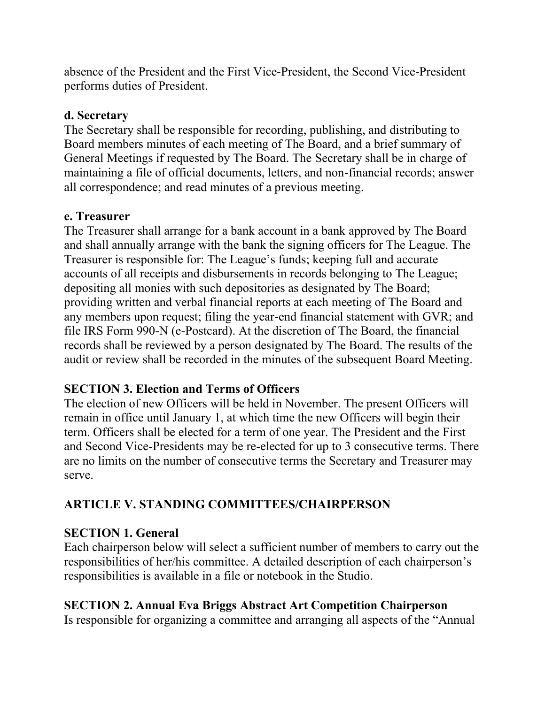absence of the President and the First Vice-President, the Second Vice-President performs duties of President.

### **d. Secretary**

The Secretary shall be responsible for recording, publishing, and distributing to Board members minutes of each meeting of The Board, and a brief summary of General Meetings if requested by The Board. The Secretary shall be in charge of maintaining a file of official documents, letters, and non-financial records; answer all correspondence; and read minutes of a previous meeting.

## **e. Treasurer**

The Treasurer shall arrange for a bank account in a bank approved by The Board and shall annually arrange with the bank the signing officers for The League. The Treasurer is responsible for: The League's funds; keeping full and accurate accounts of all receipts and disbursements in records belonging to The League; depositing all monies with such depositories as designated by The Board; providing written and verbal financial reports at each meeting of The Board and any members upon request; filing the year-end financial statement with GVR; and file IRS Form 990-N (e-Postcard). At the discretion of The Board, the financial records shall be reviewed by a person designated by The Board. The results of the audit or review shall be recorded in the minutes of the subsequent Board Meeting.

## **SECTION 3. Election and Terms of Officers**

The election of new Officers will be held in November. The present Officers will remain in office until January 1, at which time the new Officers will begin their term. Officers shall be elected for a term of one year. The President and the First and Second Vice-Presidents may be re-elected for up to 3 consecutive terms. There are no limits on the number of consecutive terms the Secretary and Treasurer may serve.

# **ARTICLE V. STANDING COMMITTEES/CHAIRPERSON**

# **SECTION 1. General**

Each chairperson below will select a sufficient number of members to carry out the responsibilities of her/his committee. A detailed description of each chairperson's responsibilities is available in a file or notebook in the Studio.

# **SECTION 2. Annual Eva Briggs Abstract Art Competition Chairperson**

Is responsible for organizing a committee and arranging all aspects of the "Annual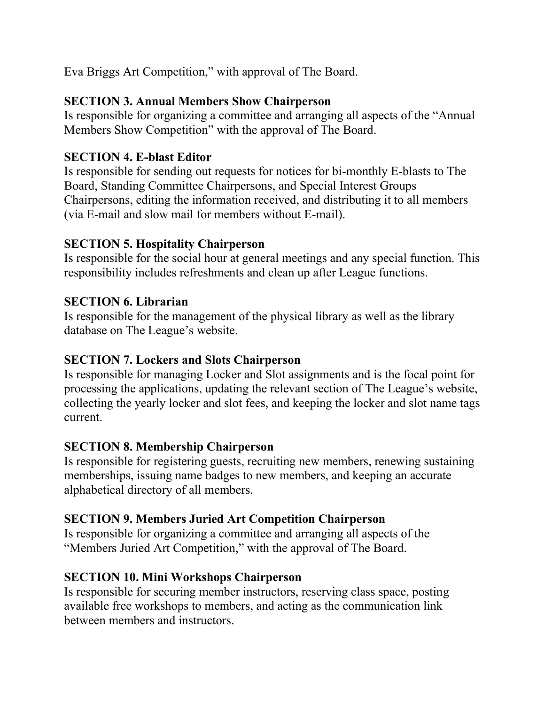Eva Briggs Art Competition," with approval of The Board.

# **SECTION 3. Annual Members Show Chairperson**

Is responsible for organizing a committee and arranging all aspects of the "Annual Members Show Competition" with the approval of The Board.

# **SECTION 4. E-blast Editor**

Is responsible for sending out requests for notices for bi-monthly E-blasts to The Board, Standing Committee Chairpersons, and Special Interest Groups Chairpersons, editing the information received, and distributing it to all members (via E-mail and slow mail for members without E-mail).

# **SECTION 5. Hospitality Chairperson**

Is responsible for the social hour at general meetings and any special function. This responsibility includes refreshments and clean up after League functions.

# **SECTION 6. Librarian**

Is responsible for the management of the physical library as well as the library database on The League's website.

## **SECTION 7. Lockers and Slots Chairperson**

Is responsible for managing Locker and Slot assignments and is the focal point for processing the applications, updating the relevant section of The League's website, collecting the yearly locker and slot fees, and keeping the locker and slot name tags current.

## **SECTION 8. Membership Chairperson**

Is responsible for registering guests, recruiting new members, renewing sustaining memberships, issuing name badges to new members, and keeping an accurate alphabetical directory of all members.

# **SECTION 9. Members Juried Art Competition Chairperson**

Is responsible for organizing a committee and arranging all aspects of the "Members Juried Art Competition," with the approval of The Board.

## **SECTION 10. Mini Workshops Chairperson**

Is responsible for securing member instructors, reserving class space, posting available free workshops to members, and acting as the communication link between members and instructors.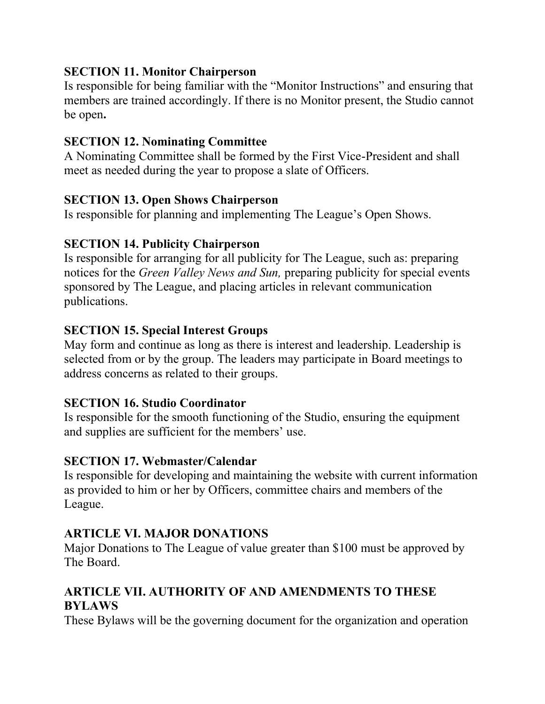## **SECTION 11. Monitor Chairperson**

Is responsible for being familiar with the "Monitor Instructions" and ensuring that members are trained accordingly. If there is no Monitor present, the Studio cannot be open**.**

## **SECTION 12. Nominating Committee**

A Nominating Committee shall be formed by the First Vice-President and shall meet as needed during the year to propose a slate of Officers.

#### **SECTION 13. Open Shows Chairperson**

Is responsible for planning and implementing The League's Open Shows.

#### **SECTION 14. Publicity Chairperson**

Is responsible for arranging for all publicity for The League, such as: preparing notices for the *Green Valley News and Sun,* preparing publicity for special events sponsored by The League, and placing articles in relevant communication publications.

#### **SECTION 15. Special Interest Groups**

May form and continue as long as there is interest and leadership. Leadership is selected from or by the group. The leaders may participate in Board meetings to address concerns as related to their groups.

#### **SECTION 16. Studio Coordinator**

Is responsible for the smooth functioning of the Studio, ensuring the equipment and supplies are sufficient for the members' use.

#### **SECTION 17. Webmaster/Calendar**

Is responsible for developing and maintaining the website with current information as provided to him or her by Officers, committee chairs and members of the League.

## **ARTICLE VI. MAJOR DONATIONS**

Major Donations to The League of value greater than \$100 must be approved by The Board.

## **ARTICLE VII. AUTHORITY OF AND AMENDMENTS TO THESE BYLAWS**

These Bylaws will be the governing document for the organization and operation